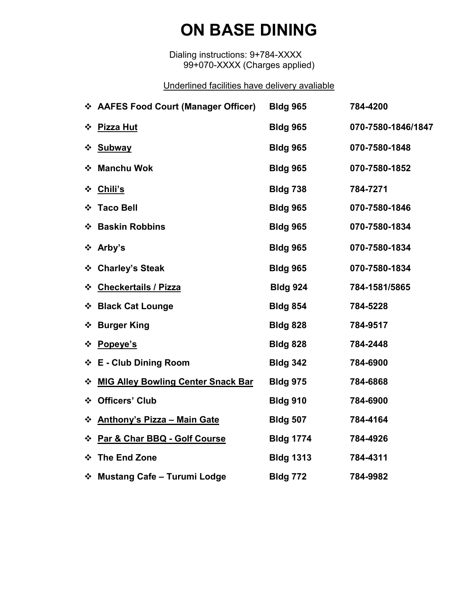### **ON BASE DINING**

Dialing instructions: 9+784-XXXX 99+070-XXXX (Charges applied)

#### Underlined facilities have delivery avaliable

| ❖ AAFES Food Court (Manager Officer)           | <b>Bldg 965</b>  | 784-4200           |
|------------------------------------------------|------------------|--------------------|
| <b>Pizza Hut</b><br>❖                          | <b>Bldg 965</b>  | 070-7580-1846/1847 |
| <b>Subway</b><br>❖                             | <b>Bldg 965</b>  | 070-7580-1848      |
| ❖ Manchu Wok                                   | <b>Bldg 965</b>  | 070-7580-1852      |
| ❖ Chili's                                      | <b>Bldg 738</b>  | 784-7271           |
| ❖ Taco Bell                                    | <b>Bldg 965</b>  | 070-7580-1846      |
| ❖ Baskin Robbins                               | <b>Bldg 965</b>  | 070-7580-1834      |
| ❖ Arby's                                       | <b>Bldg 965</b>  | 070-7580-1834      |
| ❖ Charley's Steak                              | <b>Bldg 965</b>  | 070-7580-1834      |
| ❖ Checkertails / Pizza                         | <b>Bldg 924</b>  | 784-1581/5865      |
| ❖ Black Cat Lounge                             | <b>Bldg 854</b>  | 784-5228           |
| ❖ Burger King                                  | <b>Bldg 828</b>  | 784-9517           |
| ☆ Popeye's                                     | <b>Bldg 828</b>  | 784-2448           |
| ❖ E - Club Dining Room                         | <b>Bldg 342</b>  | 784-6900           |
| <b>MIG Alley Bowling Center Snack Bar</b><br>❖ | <b>Bldg 975</b>  | 784-6868           |
| <b>Officers' Club</b><br>❖                     | <b>Bldg 910</b>  | 784-6900           |
| <b>Anthony's Pizza - Main Gate</b><br>❖        | <b>Bldg 507</b>  | 784-4164           |
| * Par & Char BBQ - Golf Course                 | <b>Bldg 1774</b> | 784-4926           |
| The End Zone<br>❖                              | <b>Bldg 1313</b> | 784-4311           |
| ❖ Mustang Cafe – Turumi Lodge                  | <b>Bldg 772</b>  | 784-9982           |